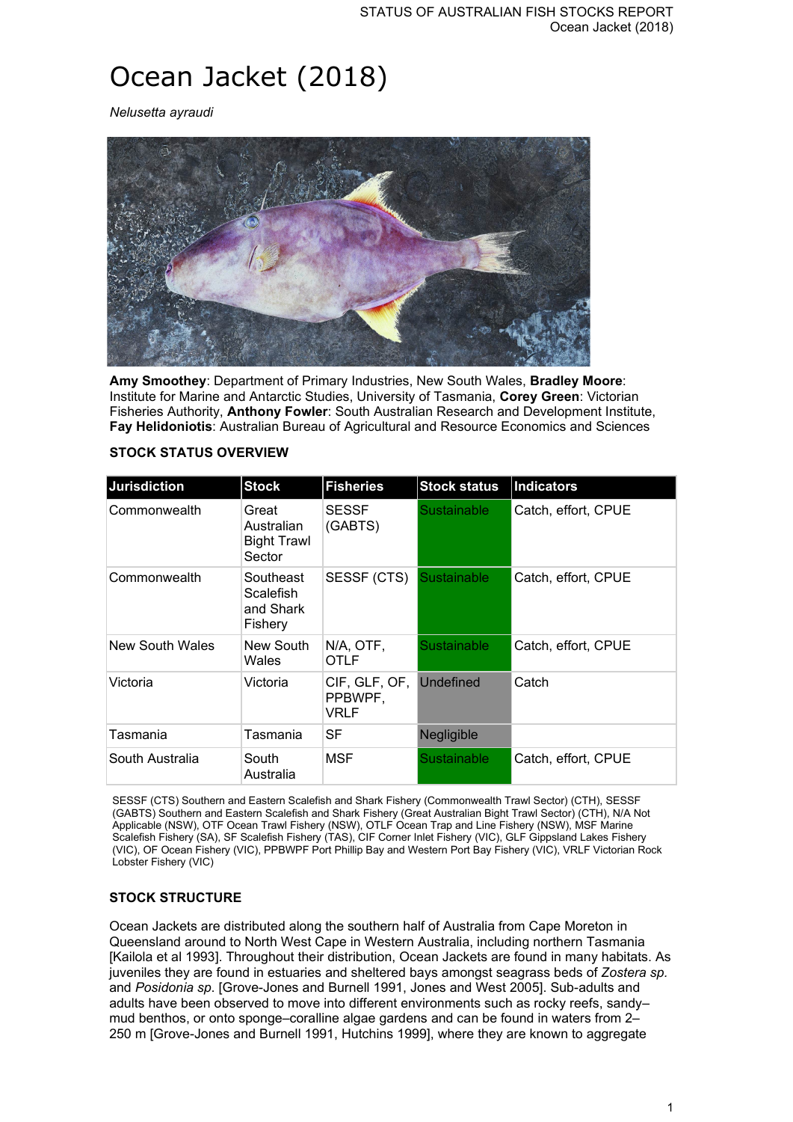# Ocean Jacket (2018)

*Nelusetta ayraudi*



**Amy Smoothey**: Department of Primary Industries, New South Wales, **Bradley Moore**: Institute for Marine and Antarctic Studies, University of Tasmania, **Corey Green**: Victorian Fisheries Authority, **Anthony Fowler**: South Australian Research and Development Institute, **Fay Helidoniotis**: Australian Bureau of Agricultural and Resource Economics and Sciences

| <b>Jurisdiction</b>    | <b>Stock</b>                                        | <b>Fisheries</b>                 | <b>Stock status</b> | Indicators          |
|------------------------|-----------------------------------------------------|----------------------------------|---------------------|---------------------|
| Commonwealth           | Great<br>Australian<br><b>Bight Trawl</b><br>Sector | <b>SESSF</b><br>(GABTS)          | <b>Sustainable</b>  | Catch, effort, CPUE |
| Commonwealth           | Southeast<br>Scalefish<br>and Shark<br>Fishery      | SESSF (CTS)                      | <b>Sustainable</b>  | Catch, effort, CPUE |
| <b>New South Wales</b> | New South<br>Wales                                  | N/A, OTF,<br>OTLF                | Sustainable         | Catch, effort, CPUE |
| Victoria               | Victoria                                            | CIF, GLF, OF,<br>PPBWPF.<br>VRLF | <b>Undefined</b>    | Catch               |
| Tasmania               | Tasmania                                            | SF                               | Negligible          |                     |
| South Australia        | South<br>Australia                                  | MSF                              | Sustainable         | Catch, effort, CPUE |

#### **STOCK STATUS OVERVIEW**

SESSF (CTS) Southern and Eastern Scalefish and Shark Fishery (Commonwealth Trawl Sector) (CTH), SESSF (GABTS) Southern and Eastern Scalefish and Shark Fishery (Great Australian Bight Trawl Sector) (CTH), N/A Not Applicable (NSW), OTF Ocean Trawl Fishery (NSW), OTLF Ocean Trap and Line Fishery (NSW), MSF Marine Scalefish Fishery (SA), SF Scalefish Fishery (TAS), CIF Corner Inlet Fishery (VIC), GLF Gippsland Lakes Fishery (VIC), OF Ocean Fishery (VIC), PPBWPF Port Phillip Bay and Western Port Bay Fishery (VIC), VRLF Victorian Rock Lobster Fishery (VIC)

## **STOCK STRUCTURE**

Ocean Jackets are distributed along the southern half of Australia from Cape Moreton in Queensland around to North West Cape in Western Australia, including northern Tasmania [Kailola et al 1993]. Throughout their distribution, Ocean Jackets are found in many habitats. As juveniles they are found in estuaries and sheltered bays amongst seagrass beds of *Zostera sp.*  and *Posidonia sp*. [Grove-Jones and Burnell 1991, Jones and West 2005]. Sub-adults and adults have been observed to move into different environments such as rocky reefs, sandy– mud benthos, or onto sponge–coralline algae gardens and can be found in waters from 2– 250 m [Grove-Jones and Burnell 1991, Hutchins 1999], where they are known to aggregate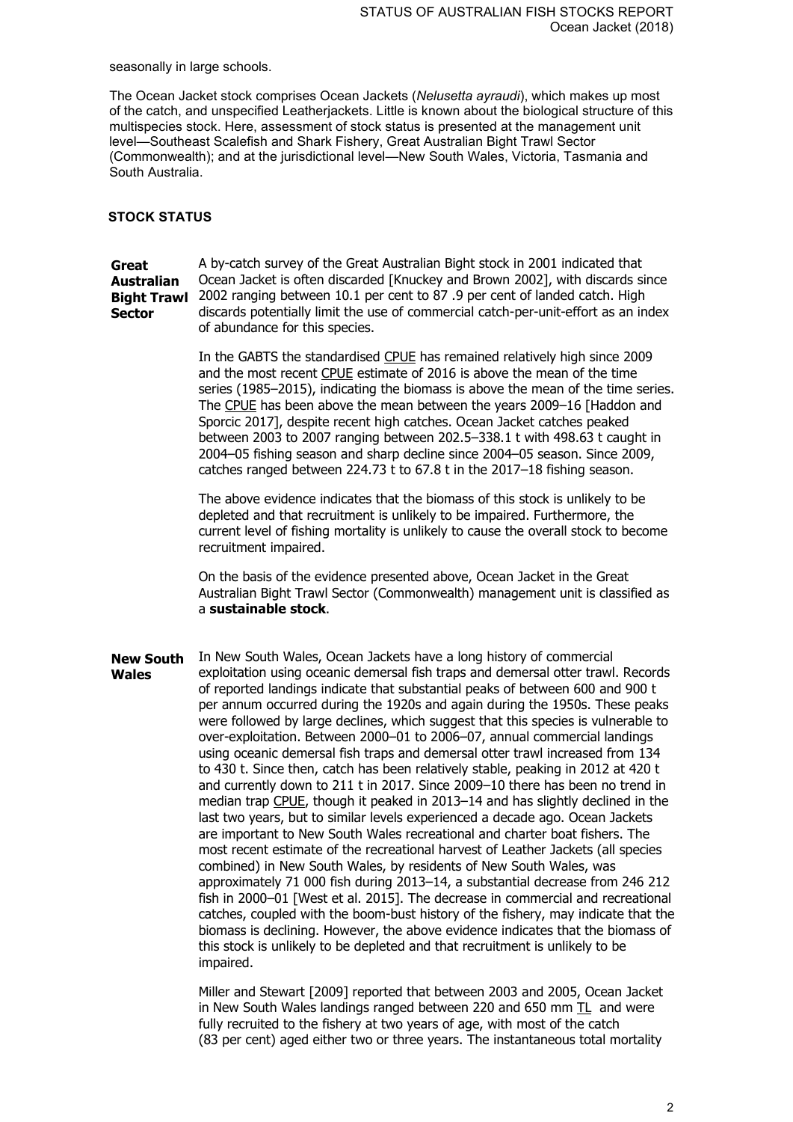seasonally in large schools.

The Ocean Jacket stock comprises Ocean Jackets (*Nelusetta ayraudi*), which makes up most of the catch, and unspecified Leatherjackets. Little is known about the biological structure of this multispecies stock. Here, assessment of stock status is presented at the management unit level—Southeast Scalefish and Shark Fishery, Great Australian Bight Trawl Sector (Commonwealth); and at the jurisdictional level—New South Wales, Victoria, Tasmania and South Australia.

## **STOCK STATUS**

**Great Australian Bight Trawl**  2002 ranging between 10.1 per cent to 87 .9 per cent of landed catch. High **Sector** A by-catch survey of the Great Australian Bight stock in 2001 indicated that Ocean Jacket is often discarded [Knuckey and Brown 2002], with discards since discards potentially limit the use of commercial catch-per-unit-effort as an index of abundance for this species.

> In the GABTS the standardised CPUE has remained relatively high since 2009 and the most recent CPUE estimate of 2016 is above the mean of the time series (1985–2015), indicating the biomass is above the mean of the time series. The CPUE has been above the mean between the years 2009–16 [Haddon and Sporcic 2017], despite recent high catches. Ocean Jacket catches peaked between 2003 to 2007 ranging between 202.5–338.1 t with 498.63 t caught in 2004–05 fishing season and sharp decline since 2004–05 season. Since 2009, catches ranged between 224.73 t to 67.8 t in the 2017–18 fishing season.

The above evidence indicates that the biomass of this stock is unlikely to be depleted and that recruitment is unlikely to be impaired. Furthermore, the current level of fishing mortality is unlikely to cause the overall stock to become recruitment impaired.

On the basis of the evidence presented above, Ocean Jacket in the Great Australian Bight Trawl Sector (Commonwealth) management unit is classified as a **sustainable stock**.

**New South Wales** In New South Wales, Ocean Jackets have a long history of commercial exploitation using oceanic demersal fish traps and demersal otter trawl. Records of reported landings indicate that substantial peaks of between 600 and 900 t per annum occurred during the 1920s and again during the 1950s. These peaks were followed by large declines, which suggest that this species is vulnerable to over-exploitation. Between 2000–01 to 2006–07, annual commercial landings using oceanic demersal fish traps and demersal otter trawl increased from 134 to 430 t. Since then, catch has been relatively stable, peaking in 2012 at 420 t and currently down to 211 t in 2017. Since 2009–10 there has been no trend in median trap CPUE, though it peaked in 2013–14 and has slightly declined in the last two years, but to similar levels experienced a decade ago. Ocean Jackets are important to New South Wales recreational and charter boat fishers. The most recent estimate of the recreational harvest of Leather Jackets (all species combined) in New South Wales, by residents of New South Wales, was approximately 71 000 fish during 2013–14, a substantial decrease from 246 212 fish in 2000–01 [West et al. 2015]. The decrease in commercial and recreational catches, coupled with the boom-bust history of the fishery, may indicate that the biomass is declining. However, the above evidence indicates that the biomass of this stock is unlikely to be depleted and that recruitment is unlikely to be impaired.

> Miller and Stewart [2009] reported that between 2003 and 2005, Ocean Jacket in New South Wales landings ranged between 220 and 650 mm  $TL$  and were fully recruited to the fishery at two years of age, with most of the catch (83 per cent) aged either two or three years. The instantaneous total mortality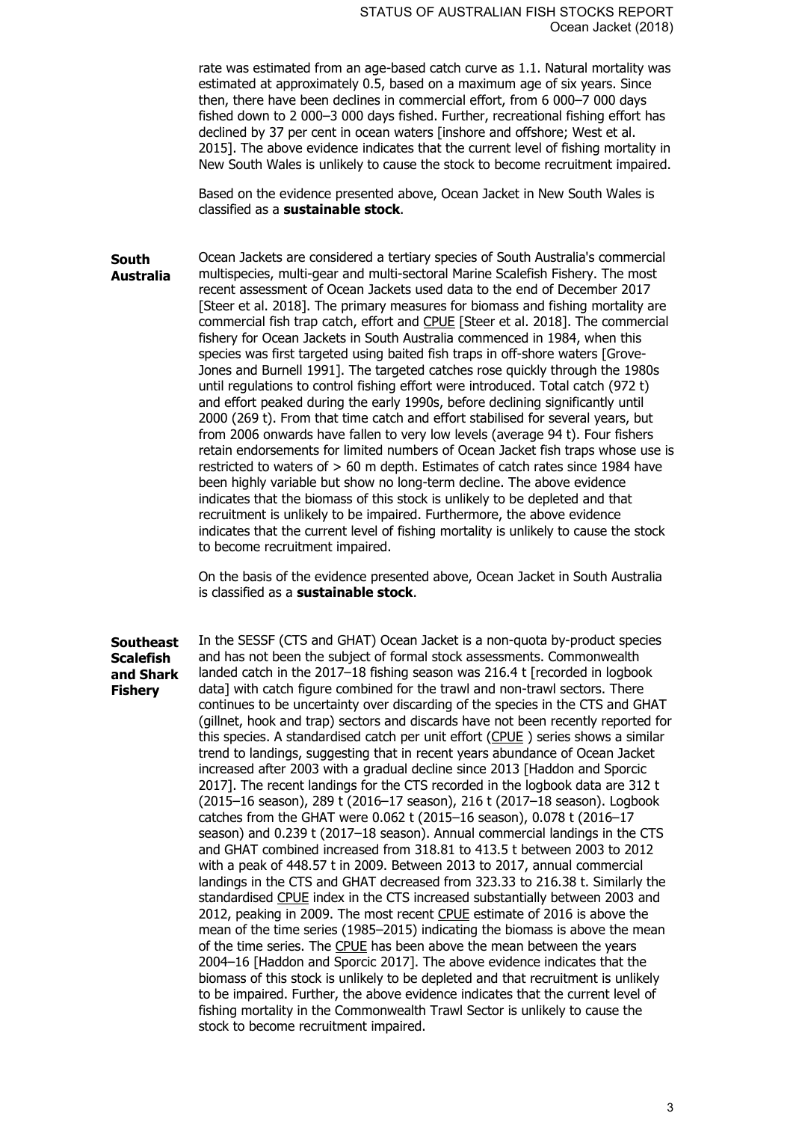rate was estimated from an age-based catch curve as 1.1. Natural mortality was estimated at approximately 0.5, based on a maximum age of six years. Since then, there have been declines in commercial effort, from 6 000–7 000 days fished down to 2 000–3 000 days fished. Further, recreational fishing effort has declined by 37 per cent in ocean waters [inshore and offshore; West et al. 2015]. The above evidence indicates that the current level of fishing mortality in New South Wales is unlikely to cause the stock to become recruitment impaired.

Based on the evidence presented above, Ocean Jacket in New South Wales is classified as a **sustainable stock**.

**South Australia** Ocean Jackets are considered a tertiary species of South Australia's commercial multispecies, multi-gear and multi-sectoral Marine Scalefish Fishery. The most recent assessment of Ocean Jackets used data to the end of December 2017 [Steer et al. 2018]. The primary measures for biomass and fishing mortality are commercial fish trap catch, effort and CPUE [Steer et al. 2018]. The commercial fishery for Ocean Jackets in South Australia commenced in 1984, when this species was first targeted using baited fish traps in off-shore waters [Grove-Jones and Burnell 1991]. The targeted catches rose quickly through the 1980s until regulations to control fishing effort were introduced. Total catch (972 t) and effort peaked during the early 1990s, before declining significantly until 2000 (269 t). From that time catch and effort stabilised for several years, but from 2006 onwards have fallen to very low levels (average 94 t). Four fishers retain endorsements for limited numbers of Ocean Jacket fish traps whose use is restricted to waters of > 60 m depth. Estimates of catch rates since 1984 have been highly variable but show no long-term decline. The above evidence indicates that the biomass of this stock is unlikely to be depleted and that recruitment is unlikely to be impaired. Furthermore, the above evidence indicates that the current level of fishing mortality is unlikely to cause the stock to become recruitment impaired.

> On the basis of the evidence presented above, Ocean Jacket in South Australia is classified as a **sustainable stock**.

**Southeast Scalefish and Shark Fishery** In the SESSF (CTS and GHAT) Ocean Jacket is a non-quota by-product species and has not been the subject of formal stock assessments. Commonwealth landed catch in the 2017–18 fishing season was 216.4 t [recorded in logbook data] with catch figure combined for the trawl and non-trawl sectors. There continues to be uncertainty over discarding of the species in the CTS and GHAT (gillnet, hook and trap) sectors and discards have not been recently reported for this species. A standardised catch per unit effort (CPUE ) series shows a similar trend to landings, suggesting that in recent years abundance of Ocean Jacket increased after 2003 with a gradual decline since 2013 [Haddon and Sporcic 2017]. The recent landings for the CTS recorded in the logbook data are 312 t (2015–16 season), 289 t (2016–17 season), 216 t (2017–18 season). Logbook catches from the GHAT were 0.062 t (2015–16 season), 0.078 t (2016–17 season) and 0.239 t (2017–18 season). Annual commercial landings in the CTS and GHAT combined increased from 318.81 to 413.5 t between 2003 to 2012 with a peak of 448.57 t in 2009. Between 2013 to 2017, annual commercial landings in the CTS and GHAT decreased from 323.33 to 216.38 t. Similarly the standardised CPUE index in the CTS increased substantially between 2003 and 2012, peaking in 2009. The most recent CPUE estimate of 2016 is above the mean of the time series (1985–2015) indicating the biomass is above the mean of the time series. The CPUE has been above the mean between the years 2004–16 [Haddon and Sporcic 2017]. The above evidence indicates that the biomass of this stock is unlikely to be depleted and that recruitment is unlikely to be impaired. Further, the above evidence indicates that the current level of fishing mortality in the Commonwealth Trawl Sector is unlikely to cause the stock to become recruitment impaired.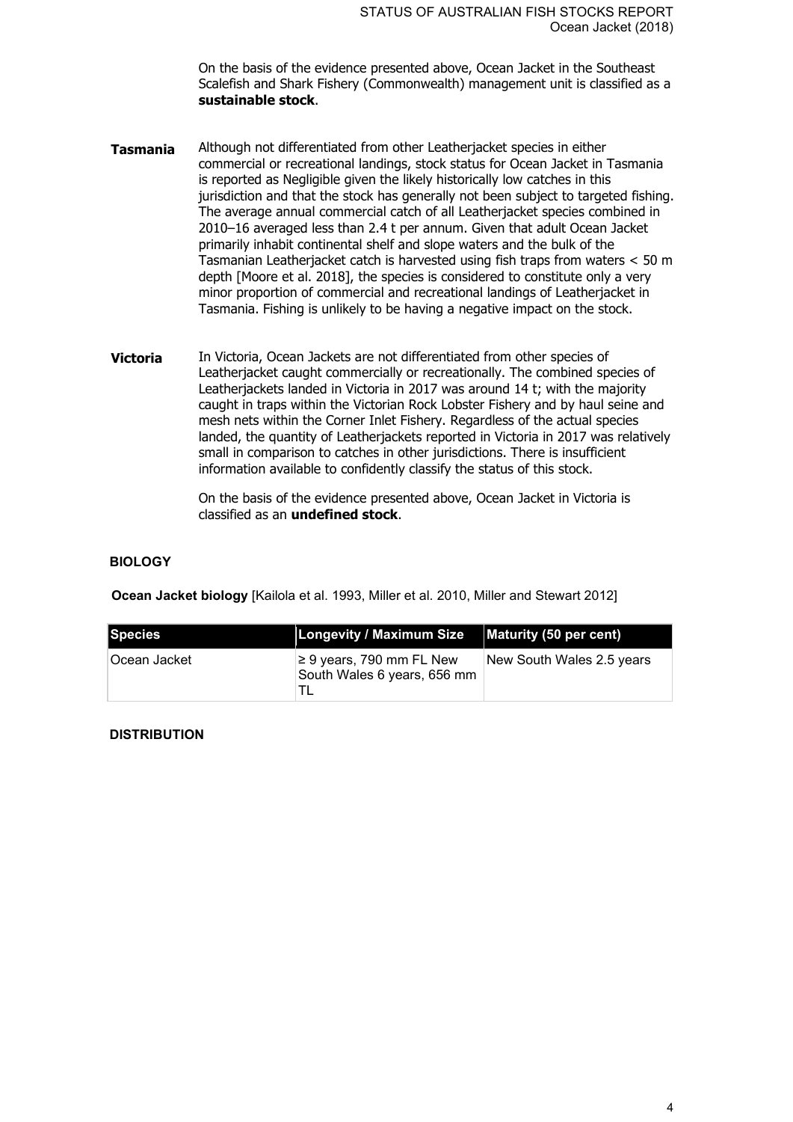On the basis of the evidence presented above, Ocean Jacket in the Southeast Scalefish and Shark Fishery (Commonwealth) management unit is classified as a **sustainable stock**.

- **Tasmania** Although not differentiated from other Leatherjacket species in either commercial or recreational landings, stock status for Ocean Jacket in Tasmania is reported as Negligible given the likely historically low catches in this jurisdiction and that the stock has generally not been subject to targeted fishing. The average annual commercial catch of all Leatherjacket species combined in 2010–16 averaged less than 2.4 t per annum. Given that adult Ocean Jacket primarily inhabit continental shelf and slope waters and the bulk of the  $T$ asmanian Leatherjacket catch is harvested using fish traps from waters  $< 50$  m depth [Moore et al. 2018], the species is considered to constitute only a very minor proportion of commercial and recreational landings of Leatherjacket in Tasmania. Fishing is unlikely to be having a negative impact on the stock.
- **Victoria** In Victoria, Ocean Jackets are not differentiated from other species of Leatherjacket caught commercially or recreationally. The combined species of Leatherjackets landed in Victoria in 2017 was around 14 t; with the majority caught in traps within the Victorian Rock Lobster Fishery and by haul seine and mesh nets within the Corner Inlet Fishery. Regardless of the actual species landed, the quantity of Leatherjackets reported in Victoria in 2017 was relatively small in comparison to catches in other jurisdictions. There is insufficient information available to confidently classify the status of this stock.

On the basis of the evidence presented above, Ocean Jacket in Victoria is classified as an **undefined stock**.

#### **BIOLOGY**

**Ocean Jacket biology** [Kailola et al. 1993, Miller et al. 2010, Miller and Stewart 2012]

| Species       | Longevity / Maximum Size                                     | Maturity (50 per cent)    |
|---------------|--------------------------------------------------------------|---------------------------|
| ∣Ocean Jacket | $\geq$ 9 years, 790 mm FL New<br>South Wales 6 years, 656 mm | New South Wales 2.5 years |

#### **DISTRIBUTION**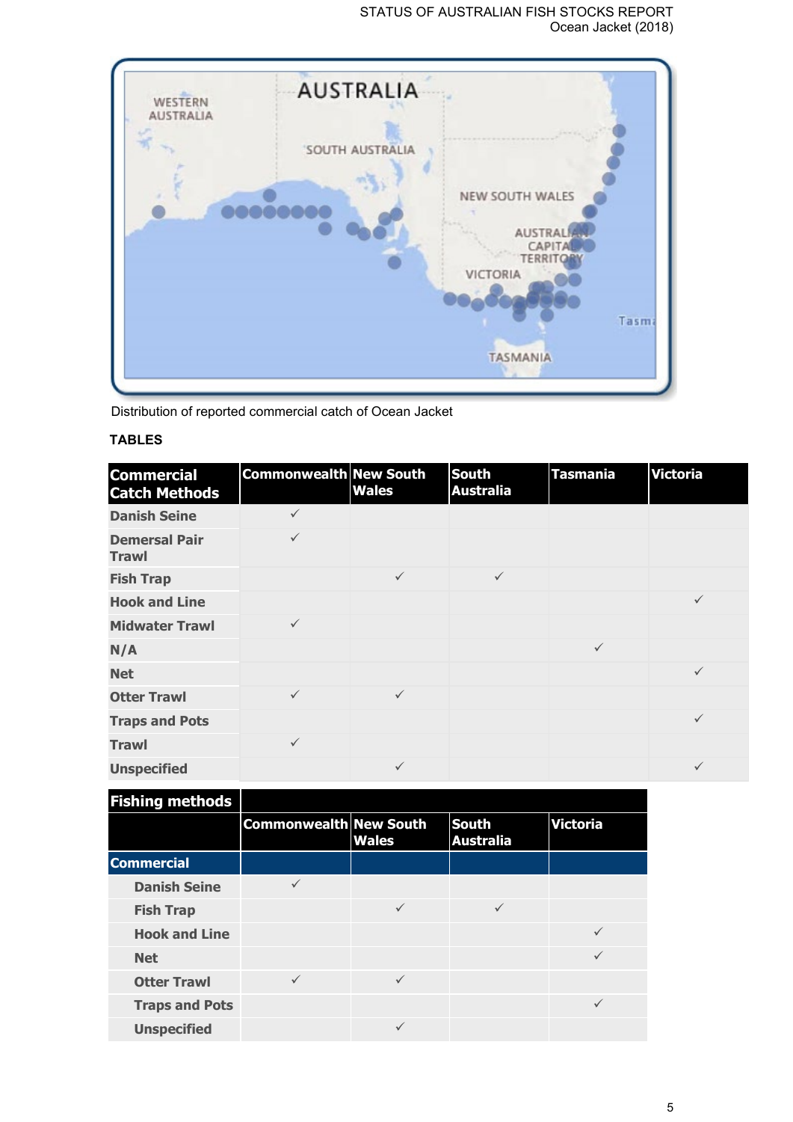## STATUS OF AUSTRALIAN FISH STOCKS REPORT Ocean Jacket (2018)



Distribution of reported commercial catch of Ocean Jacket

# **TABLES**

| <b>Commercial</b><br><b>Catch Methods</b> | <b>Commonwealth New South</b> | <b>Wales</b> | <b>South</b><br><b>Australia</b> | <b>Tasmania</b> | <b>Victoria</b> |
|-------------------------------------------|-------------------------------|--------------|----------------------------------|-----------------|-----------------|
| <b>Danish Seine</b>                       | $\checkmark$                  |              |                                  |                 |                 |
| <b>Demersal Pair</b><br><b>Trawl</b>      | $\checkmark$                  |              |                                  |                 |                 |
| <b>Fish Trap</b>                          |                               | $\checkmark$ | $\checkmark$                     |                 |                 |
| <b>Hook and Line</b>                      |                               |              |                                  |                 | $\checkmark$    |
| <b>Midwater Trawl</b>                     | $\checkmark$                  |              |                                  |                 |                 |
| N/A                                       |                               |              |                                  | $\checkmark$    |                 |
| <b>Net</b>                                |                               |              |                                  |                 | $\checkmark$    |
| <b>Otter Trawl</b>                        | $\checkmark$                  | $\checkmark$ |                                  |                 |                 |
| <b>Traps and Pots</b>                     |                               |              |                                  |                 | $\checkmark$    |
| <b>Trawl</b>                              | $\checkmark$                  |              |                                  |                 |                 |
| <b>Unspecified</b>                        |                               | $\checkmark$ |                                  |                 | $\checkmark$    |

| <b>Fishing methods</b> |                               |              |                                  |                 |
|------------------------|-------------------------------|--------------|----------------------------------|-----------------|
|                        | <b>Commonwealth New South</b> | <b>Wales</b> | <b>South</b><br><b>Australia</b> | <b>Victoria</b> |
| <b>Commercial</b>      |                               |              |                                  |                 |
| <b>Danish Seine</b>    | $\checkmark$                  |              |                                  |                 |
| <b>Fish Trap</b>       |                               | $\checkmark$ | $\checkmark$                     |                 |
| <b>Hook and Line</b>   |                               |              |                                  |                 |
| <b>Net</b>             |                               |              |                                  | ✓               |
| <b>Otter Trawl</b>     | $\checkmark$                  | $\checkmark$ |                                  |                 |
| <b>Traps and Pots</b>  |                               |              |                                  | $\checkmark$    |
| <b>Unspecified</b>     |                               |              |                                  |                 |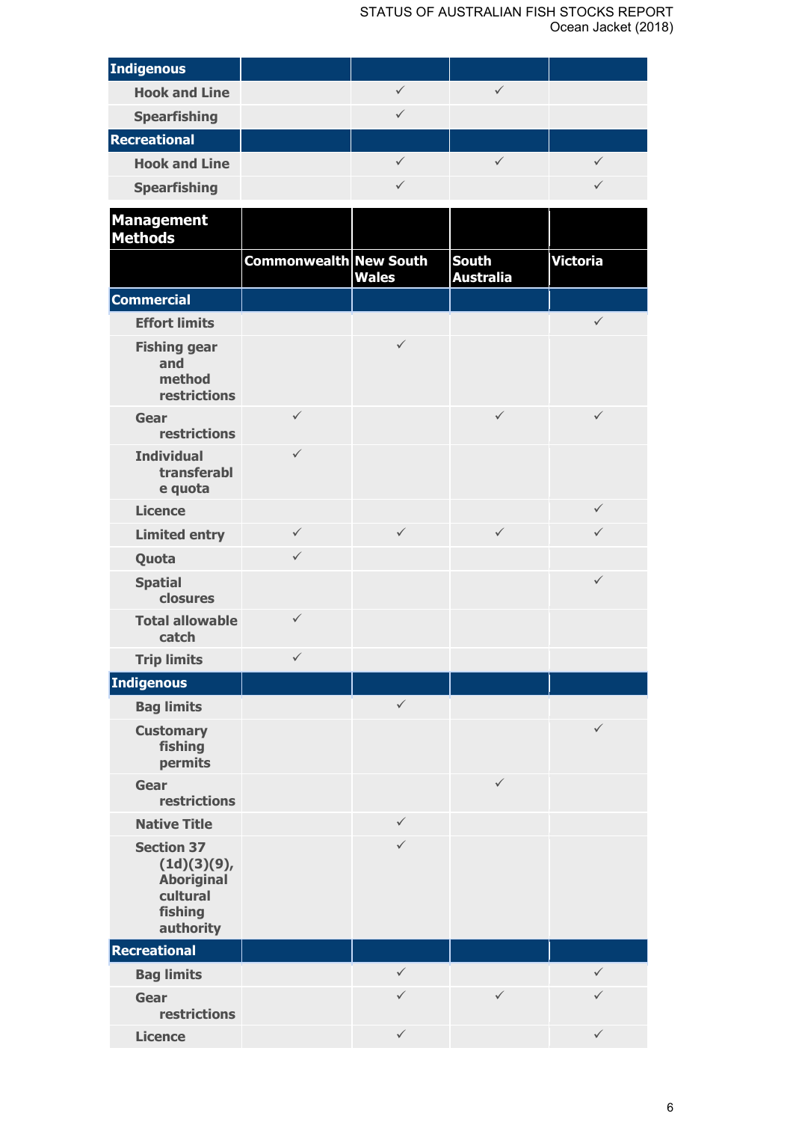| <b>Indigenous</b>                                                                         |                        |              |                                  |                 |
|-------------------------------------------------------------------------------------------|------------------------|--------------|----------------------------------|-----------------|
| <b>Hook and Line</b>                                                                      |                        | $\checkmark$ | $\checkmark$                     |                 |
| <b>Spearfishing</b>                                                                       |                        | $\checkmark$ |                                  |                 |
| <b>Recreational</b>                                                                       |                        |              |                                  |                 |
| <b>Hook and Line</b>                                                                      |                        | $\checkmark$ | $\checkmark$                     | ✓               |
| <b>Spearfishing</b>                                                                       |                        | $\checkmark$ |                                  | ✓               |
| <b>Management</b><br><b>Methods</b>                                                       |                        |              |                                  |                 |
|                                                                                           | Commonwealth New South | <b>Wales</b> | <b>South</b><br><b>Australia</b> | <b>Victoria</b> |
| <b>Commercial</b>                                                                         |                        |              |                                  |                 |
| <b>Effort limits</b>                                                                      |                        |              |                                  | $\checkmark$    |
| <b>Fishing gear</b><br>and<br>method<br>restrictions                                      |                        | $\checkmark$ |                                  |                 |
| Gear<br>restrictions                                                                      | $\checkmark$           |              | $\checkmark$                     | $\checkmark$    |
| <b>Individual</b><br>transferabl<br>e quota                                               | $\checkmark$           |              |                                  |                 |
| <b>Licence</b>                                                                            |                        |              |                                  | $\checkmark$    |
| <b>Limited entry</b>                                                                      | $\checkmark$           | $\checkmark$ | $\checkmark$                     | $\checkmark$    |
| Quota                                                                                     | $\checkmark$           |              |                                  |                 |
| <b>Spatial</b><br>closures                                                                |                        |              |                                  | $\checkmark$    |
| <b>Total allowable</b><br>catch                                                           | $\checkmark$           |              |                                  |                 |
| <b>Trip limits</b>                                                                        | $\checkmark$           |              |                                  |                 |
| Indigenous                                                                                |                        |              |                                  |                 |
| <b>Bag limits</b>                                                                         |                        | $\checkmark$ |                                  |                 |
| <b>Customary</b><br>fishing<br>permits                                                    |                        |              |                                  | ✓               |
| Gear<br>restrictions                                                                      |                        |              | $\checkmark$                     |                 |
| <b>Native Title</b>                                                                       |                        | $\checkmark$ |                                  |                 |
| <b>Section 37</b><br>(1d)(3)(9),<br><b>Aboriginal</b><br>cultural<br>fishing<br>authority |                        | $\checkmark$ |                                  |                 |
| Recreational                                                                              |                        |              |                                  |                 |
| <b>Bag limits</b>                                                                         |                        | $\checkmark$ |                                  | $\checkmark$    |
| Gear<br>restrictions                                                                      |                        | $\checkmark$ | $\checkmark$                     | $\checkmark$    |
| <b>Licence</b>                                                                            |                        | $\checkmark$ |                                  | $\checkmark$    |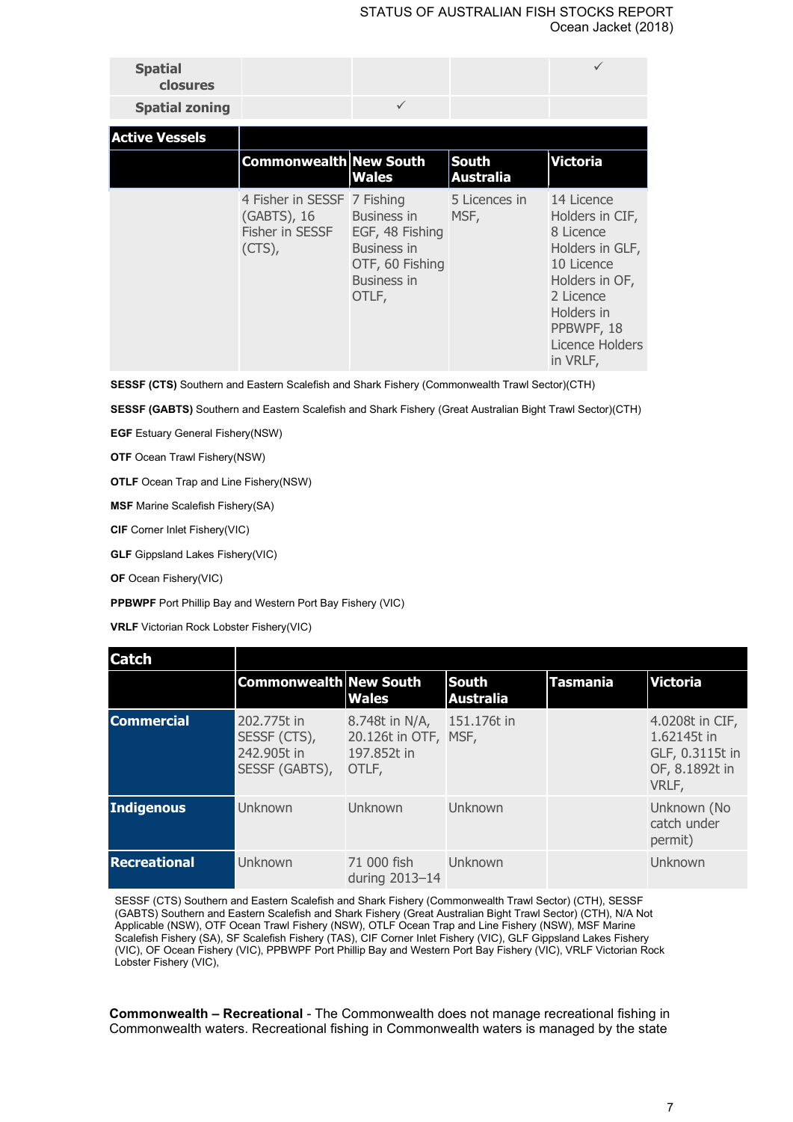| <b>Spatial</b><br>closures<br><b>Spatial zoning</b> |                                                                            | $\checkmark$                                                                                                  |                                  |                                                                                                                                                                       |
|-----------------------------------------------------|----------------------------------------------------------------------------|---------------------------------------------------------------------------------------------------------------|----------------------------------|-----------------------------------------------------------------------------------------------------------------------------------------------------------------------|
| <b>Active Vessels</b>                               |                                                                            |                                                                                                               |                                  |                                                                                                                                                                       |
|                                                     | <b>Commonwealth New South</b>                                              | <b>Wales</b>                                                                                                  | <b>South</b><br><b>Australia</b> | <b>Victoria</b>                                                                                                                                                       |
|                                                     | 4 Fisher in SESSF 7 Fishing<br>(GABTS), 16<br>Fisher in SESSF<br>$(CTS)$ , | <b>Business in</b><br>EGF, 48 Fishing<br><b>Business in</b><br>OTF, 60 Fishing<br><b>Business in</b><br>OTLF, | 5 Licences in<br>MSF,            | 14 Licence<br>Holders in CIF,<br>8 Licence<br>Holders in GLF,<br>10 Licence<br>Holders in OF,<br>2 Licence<br>Holders in<br>PPBWPF, 18<br>Licence Holders<br>in VRLF, |

**SESSF (CTS)** Southern and Eastern Scalefish and Shark Fishery (Commonwealth Trawl Sector)(CTH)

**SESSF (GABTS)** Southern and Eastern Scalefish and Shark Fishery (Great Australian Bight Trawl Sector)(CTH)

**EGF** Estuary General Fishery(NSW)

**OTF** Ocean Trawl Fishery(NSW)

**OTLF** Ocean Trap and Line Fishery(NSW)

**MSF** Marine Scalefish Fishery(SA)

**CIF** Corner Inlet Fishery(VIC)

**GLF** Gippsland Lakes Fishery(VIC)

**OF** Ocean Fishery(VIC)

**PPBWPF** Port Phillip Bay and Western Port Bay Fishery (VIC)

**VRLF** Victorian Rock Lobster Fishery(VIC)

| <b>Catch</b>        |                                                              |                                                                |                                  |                 |                                                                              |
|---------------------|--------------------------------------------------------------|----------------------------------------------------------------|----------------------------------|-----------------|------------------------------------------------------------------------------|
|                     | <b>Commonwealth New South</b>                                | <b>Wales</b>                                                   | <b>South</b><br><b>Australia</b> | <b>Tasmania</b> | <b>Victoria</b>                                                              |
| <b>Commercial</b>   | 202.775t in<br>SESSF (CTS),<br>242,905t in<br>SESSF (GABTS), | 8.748t in N/A,<br>20.126t in OTF, MSF,<br>197.852t in<br>OTLF, | 151.176t in                      |                 | 4.0208t in CIF,<br>1.62145t in<br>GLF, 0.3115t in<br>OF, 8.1892t in<br>VRLF, |
| <b>Indigenous</b>   | Unknown                                                      | Unknown                                                        | <b>Unknown</b>                   |                 | Unknown (No<br>catch under<br>permit)                                        |
| <b>Recreational</b> | <b>Unknown</b>                                               | 71 000 fish<br>during 2013-14                                  | Unknown                          |                 | Unknown                                                                      |

SESSF (CTS) Southern and Eastern Scalefish and Shark Fishery (Commonwealth Trawl Sector) (CTH), SESSF (GABTS) Southern and Eastern Scalefish and Shark Fishery (Great Australian Bight Trawl Sector) (CTH), N/A Not Applicable (NSW), OTF Ocean Trawl Fishery (NSW), OTLF Ocean Trap and Line Fishery (NSW), MSF Marine Scalefish Fishery (SA), SF Scalefish Fishery (TAS), CIF Corner Inlet Fishery (VIC), GLF Gippsland Lakes Fishery (VIC), OF Ocean Fishery (VIC), PPBWPF Port Phillip Bay and Western Port Bay Fishery (VIC), VRLF Victorian Rock Lobster Fishery (VIC),

**Commonwealth – Recreational** - The Commonwealth does not manage recreational fishing in Commonwealth waters. Recreational fishing in Commonwealth waters is managed by the state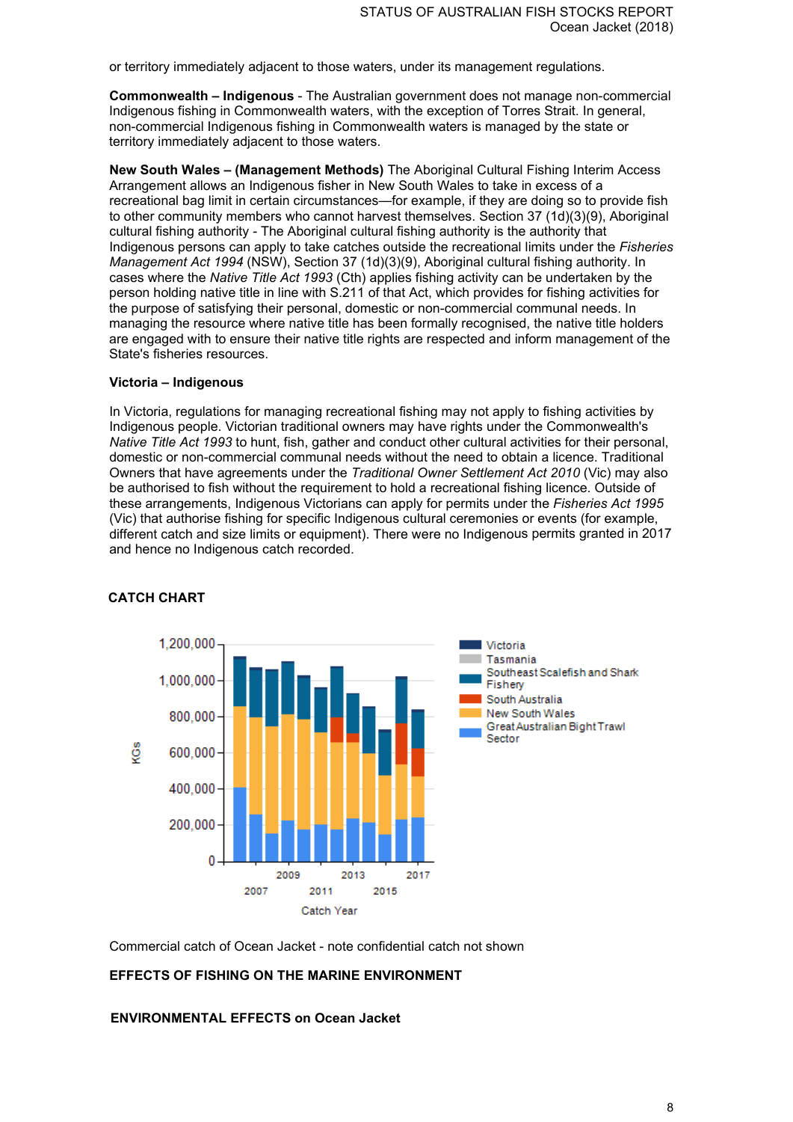or territory immediately adjacent to those waters, under its management regulations.

**Commonwealth – Indigenous** - The Australian government does not manage non-commercial Indigenous fishing in Commonwealth waters, with the exception of Torres Strait. In general, non-commercial Indigenous fishing in Commonwealth waters is managed by the state or territory immediately adjacent to those waters.

**New South Wales – (Management Methods)** The Aboriginal Cultural Fishing Interim Access Arrangement allows an Indigenous fisher in New South Wales to take in excess of a recreational bag limit in certain circumstances—for example, if they are doing so to provide fish to other community members who cannot harvest themselves. Section 37 (1d)(3)(9), Aboriginal cultural fishing authority - The Aboriginal cultural fishing authority is the authority that Indigenous persons can apply to take catches outside the recreational limits under the *Fisheries Management Act 1994* (NSW), Section 37 (1d)(3)(9), Aboriginal cultural fishing authority. In cases where the *Native Title Act 1993* (Cth) applies fishing activity can be undertaken by the person holding native title in line with S.211 of that Act, which provides for fishing activities for the purpose of satisfying their personal, domestic or non-commercial communal needs. In managing the resource where native title has been formally recognised, the native title holders are engaged with to ensure their native title rights are respected and inform management of the State's fisheries resources.

#### **Victoria – Indigenous**

In Victoria, regulations for managing recreational fishing may not apply to fishing activities by Indigenous people. Victorian traditional owners may have rights under the Commonwealth's *Native Title Act 1993* to hunt, fish, gather and conduct other cultural activities for their personal, domestic or non-commercial communal needs without the need to obtain a licence. Traditional Owners that have agreements under the *Traditional Owner Settlement Act 2010* (Vic) may also be authorised to fish without the requirement to hold a recreational fishing licence. Outside of these arrangements, Indigenous Victorians can apply for permits under the *Fisheries Act 1995* (Vic) that authorise fishing for specific Indigenous cultural ceremonies or events (for example, different catch and size limits or equipment). There were no Indigenous permits granted in 2017 and hence no Indigenous catch recorded.



## **CATCH CHART**

Commercial catch of Ocean Jacket - note confidential catch not shown

#### **EFFECTS OF FISHING ON THE MARINE ENVIRONMENT**

**ENVIRONMENTAL EFFECTS on Ocean Jacket**